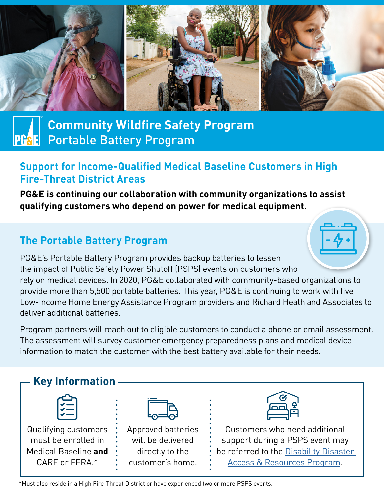

# **Community Wildfire Safety Program** Portable Battery Program

### **Support for Income-Qualified Medical Baseline Customers in High Fire-Threat District Areas**

**PG&E is continuing our collaboration with community organizations to assist qualifying customers who depend on power for medical equipment.** 

## **The Portable Battery Program**

PG&E's Portable Battery Program provides backup batteries to lessen the impact of Public Safety Power Shutoff (PSPS) events on customers who rely on medical devices. In 2020, PG&E collaborated with community-based organizations to provide more than 5,500 portable batteries. This year, PG&E is continuing to work with five Low-Income Home Energy Assistance Program providers and Richard Heath and Associates to deliver additional batteries.

Program partners will reach out to eligible customers to conduct a phone or email assessment. The assessment will survey customer emergency preparedness plans and medical device information to match the customer with the best battery available for their needs.



\*Must also reside in a High Fire-Threat District or have experienced two or more PSPS events.